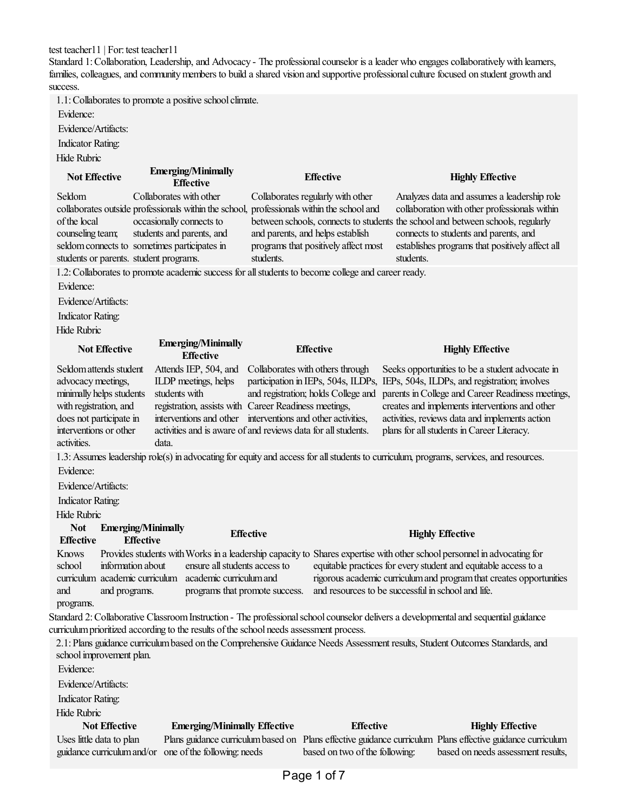test teacher11 | For: test teacher11

Standard 1: Collaboration, Leadership, and Advocacy - The professional counselor is a leader who engages collaboratively with learners, families, colleagues, and community members to build a shared vision and supportive professional culture focused on student growth and success.

1.1: Collaborates to promote a positive school climate.

Evidence:

Evidence/Artifacts:

Indicator Rating:

Hide Rubric

| <b>Not Effective</b>                                                                                                                                                                                                              | <b>Emerging/Minimally</b><br><b>Effective</b>                                                                                                                                                                                                                    |                  | <b>Effective</b>                                                                                              |           | <b>Highly Effective</b>                                                                                                                                                                                                                                                                                                                     |
|-----------------------------------------------------------------------------------------------------------------------------------------------------------------------------------------------------------------------------------|------------------------------------------------------------------------------------------------------------------------------------------------------------------------------------------------------------------------------------------------------------------|------------------|---------------------------------------------------------------------------------------------------------------|-----------|---------------------------------------------------------------------------------------------------------------------------------------------------------------------------------------------------------------------------------------------------------------------------------------------------------------------------------------------|
| Seldom<br>collaborates outside professionals within the school, professionals within the school and<br>of the local<br>counseling team;<br>seldom connects to sometimes participates in<br>students or parents. student programs. | Collaborates with other<br>occasionally connects to<br>students and parents, and                                                                                                                                                                                 | students.        | Collaborates regularly with other<br>and parents, and helps establish<br>programs that positively affect most | students. | Analyzes data and assumes a leadership role<br>collaboration with other professionals within<br>between schools, connects to students the school and between schools, regularly<br>connects to students and parents, and<br>establishes programs that positively affect all                                                                 |
| 1.2: Collaborates to promote academic success for all students to become college and career ready.<br>Evidence:<br>Evidence/Artifacts:<br><b>Indicator Rating:</b><br>Hide Rubric                                                 |                                                                                                                                                                                                                                                                  |                  |                                                                                                               |           |                                                                                                                                                                                                                                                                                                                                             |
| <b>Not Effective</b>                                                                                                                                                                                                              | <b>Emerging/Minimally</b><br><b>Effective</b>                                                                                                                                                                                                                    |                  | <b>Effective</b>                                                                                              |           | <b>Highly Effective</b>                                                                                                                                                                                                                                                                                                                     |
| Seldom attends student<br>advocacy meetings,<br>minimally helps students<br>with registration, and<br>does not participate in<br>interventions or other<br>activities.                                                            | Attends IEP, 504, and<br>ILDP meetings, helps<br>students with<br>registration, assists with Career Readiness meetings,<br>interventions and other interventions and other activities,<br>activities and is aware of and reviews data for all students.<br>data. |                  | Collaborates with others through<br>and registration; holds College and                                       |           | Seeks opportunities to be a student advocate in<br>participation in IEPs, 504s, ILDPs, IEPs, 504s, ILDPs, and registration; involves<br>parents in College and Career Readiness meetings,<br>creates and implements interventions and other<br>activities, reviews data and implements action<br>plans for all students in Career Literacy. |
| Evidence:                                                                                                                                                                                                                         |                                                                                                                                                                                                                                                                  |                  |                                                                                                               |           | 1.3: Assumes leadership role(s) in advocating for equity and access for all students to curriculum, programs, services, and resources.                                                                                                                                                                                                      |
| Evidence/Artifacts:                                                                                                                                                                                                               |                                                                                                                                                                                                                                                                  |                  |                                                                                                               |           |                                                                                                                                                                                                                                                                                                                                             |
| <b>Indicator Rating:</b>                                                                                                                                                                                                          |                                                                                                                                                                                                                                                                  |                  |                                                                                                               |           |                                                                                                                                                                                                                                                                                                                                             |
| Hide Rubric                                                                                                                                                                                                                       |                                                                                                                                                                                                                                                                  |                  |                                                                                                               |           |                                                                                                                                                                                                                                                                                                                                             |
| <b>Not</b><br><b>Emerging/Minimally</b><br><b>Effective</b><br><b>Effective</b>                                                                                                                                                   |                                                                                                                                                                                                                                                                  | <b>Effective</b> |                                                                                                               |           | <b>Highly Effective</b>                                                                                                                                                                                                                                                                                                                     |
| <b>Knows</b><br>information about<br>school<br>curriculum academic curriculum academic curriculum and<br>and<br>and programs.<br>programs.                                                                                        | ensure all students access to<br>programs that promote success.                                                                                                                                                                                                  |                  | and resources to be successful in school and life.                                                            |           | Provides students with Works in a leadership capacity to Shares expertise with other school personnel in advocating for<br>equitable practices for every student and equitable access to a<br>rigorous academic curriculum and program that creates opportunities                                                                           |
|                                                                                                                                                                                                                                   |                                                                                                                                                                                                                                                                  |                  |                                                                                                               |           | Standard 2: Collaborative Classroom Instruction - The professional school counselor delivers a developmental and sequential guidance                                                                                                                                                                                                        |
| curriculum prioritized according to the results of the school needs assessment process.                                                                                                                                           |                                                                                                                                                                                                                                                                  |                  |                                                                                                               |           | 2.1: Plans guidance curriculum based on the Comprehensive Guidance Needs Assessment results, Student Outcomes Standards, and                                                                                                                                                                                                                |
| school improvement plan.                                                                                                                                                                                                          |                                                                                                                                                                                                                                                                  |                  |                                                                                                               |           |                                                                                                                                                                                                                                                                                                                                             |
| Evidence:<br>Evidence/Artifacts:                                                                                                                                                                                                  |                                                                                                                                                                                                                                                                  |                  |                                                                                                               |           |                                                                                                                                                                                                                                                                                                                                             |
| <b>Indicator Rating:</b>                                                                                                                                                                                                          |                                                                                                                                                                                                                                                                  |                  |                                                                                                               |           |                                                                                                                                                                                                                                                                                                                                             |
| Hide Rubric                                                                                                                                                                                                                       |                                                                                                                                                                                                                                                                  |                  |                                                                                                               |           |                                                                                                                                                                                                                                                                                                                                             |
| <b>Not Effective</b>                                                                                                                                                                                                              | <b>Emerging/Minimally Effective</b>                                                                                                                                                                                                                              |                  | <b>Effective</b>                                                                                              |           | <b>Highly Effective</b>                                                                                                                                                                                                                                                                                                                     |
| Uses little data to plan<br>guidance curriculum and/or                                                                                                                                                                            | Plans guidance curriculum based on<br>one of the following: needs                                                                                                                                                                                                |                  | based on two of the following:                                                                                |           | Plans effective guidance curriculum Plans effective guidance curriculum<br>based on needs assessment results,                                                                                                                                                                                                                               |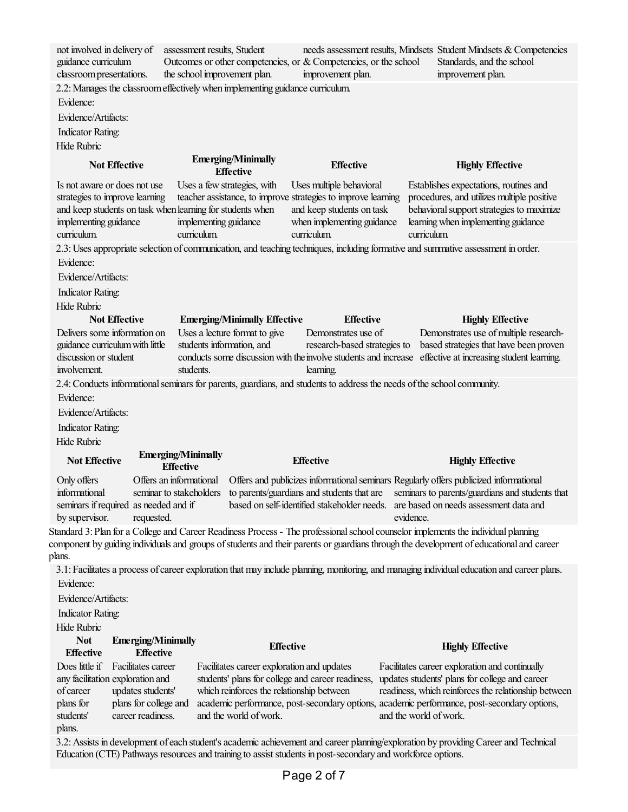| not involved in delivery of<br>guidance curriculum<br>classroom presentations.                                                           | assessment results, Student<br>Outcomes or other competencies, or & Competencies, or the school<br>the school improvement plan.                                                                   | improvement plan.                                                                                  | needs assessment results, Mindsets Student Mindsets & Competencies<br>Standards, and the school<br>improvement plan.                                                                    |  |
|------------------------------------------------------------------------------------------------------------------------------------------|---------------------------------------------------------------------------------------------------------------------------------------------------------------------------------------------------|----------------------------------------------------------------------------------------------------|-----------------------------------------------------------------------------------------------------------------------------------------------------------------------------------------|--|
|                                                                                                                                          | 2.2: Manages the classroom effectively when implementing guidance curriculum.                                                                                                                     |                                                                                                    |                                                                                                                                                                                         |  |
| Evidence:                                                                                                                                |                                                                                                                                                                                                   |                                                                                                    |                                                                                                                                                                                         |  |
| Evidence/Artifacts:                                                                                                                      |                                                                                                                                                                                                   |                                                                                                    |                                                                                                                                                                                         |  |
| <b>Indicator Rating:</b>                                                                                                                 |                                                                                                                                                                                                   |                                                                                                    |                                                                                                                                                                                         |  |
| <b>Hide Rubric</b>                                                                                                                       |                                                                                                                                                                                                   |                                                                                                    |                                                                                                                                                                                         |  |
| <b>Not Effective</b>                                                                                                                     | <b>Emerging/Minimally</b><br><b>Effective</b>                                                                                                                                                     | <b>Effective</b>                                                                                   | <b>Highly Effective</b>                                                                                                                                                                 |  |
| Is not aware or does not use<br>strategies to improve learning<br>implementing guidance<br>curriculum.                                   | Uses a few strategies, with<br>teacher assistance, to improve strategies to improve learning<br>and keep students on task when learning for students when<br>implementing guidance<br>curriculum. | Uses multiple behavioral<br>and keep students on task<br>when implementing guidance<br>curriculum. | Establishes expectations, routines and<br>procedures, and utilizes multiple positive<br>behavioral support strategies to maximize<br>learning when implementing guidance<br>curriculum. |  |
|                                                                                                                                          | 2.3: Uses appropriate selection of communication, and teaching techniques, including formative and summative assessment in order.                                                                 |                                                                                                    |                                                                                                                                                                                         |  |
| Evidence:                                                                                                                                |                                                                                                                                                                                                   |                                                                                                    |                                                                                                                                                                                         |  |
| Evidence/Artifacts:                                                                                                                      |                                                                                                                                                                                                   |                                                                                                    |                                                                                                                                                                                         |  |
| <b>Indicator Rating:</b>                                                                                                                 |                                                                                                                                                                                                   |                                                                                                    |                                                                                                                                                                                         |  |
| <b>Hide Rubric</b>                                                                                                                       |                                                                                                                                                                                                   |                                                                                                    |                                                                                                                                                                                         |  |
| <b>Not Effective</b>                                                                                                                     | <b>Emerging/Minimally Effective</b>                                                                                                                                                               | <b>Effective</b>                                                                                   | <b>Highly Effective</b>                                                                                                                                                                 |  |
| Delivers some information on                                                                                                             | Uses a lecture format to give                                                                                                                                                                     | Demonstrates use of                                                                                | Demonstrates use of multiple research-                                                                                                                                                  |  |
| guidance curriculum with little                                                                                                          | students information, and                                                                                                                                                                         | research-based strategies to                                                                       | based strategies that have been proven                                                                                                                                                  |  |
| discussion or student<br>involvement.                                                                                                    | conducts some discussion with the involve students and increase<br>students.                                                                                                                      | learning.                                                                                          | effective at increasing student learning.                                                                                                                                               |  |
|                                                                                                                                          | 2.4: Conducts informational seminars for parents, guardians, and students to address the needs of the school community.                                                                           |                                                                                                    |                                                                                                                                                                                         |  |
| Evidence:                                                                                                                                |                                                                                                                                                                                                   |                                                                                                    |                                                                                                                                                                                         |  |
| Evidence/Artifacts:                                                                                                                      |                                                                                                                                                                                                   |                                                                                                    |                                                                                                                                                                                         |  |
| <b>Indicator Rating:</b>                                                                                                                 |                                                                                                                                                                                                   |                                                                                                    |                                                                                                                                                                                         |  |
| Hide Rubric                                                                                                                              |                                                                                                                                                                                                   |                                                                                                    |                                                                                                                                                                                         |  |
|                                                                                                                                          | <b>Emerging/Minimally</b>                                                                                                                                                                         |                                                                                                    |                                                                                                                                                                                         |  |
| <b>Not Effective</b>                                                                                                                     | <b>Effective</b>                                                                                                                                                                                  | <b>Effective</b>                                                                                   | <b>Highly Effective</b>                                                                                                                                                                 |  |
| Only offers                                                                                                                              | Offers an informational                                                                                                                                                                           |                                                                                                    | Offers and publicizes informational seminars Regularly offers publicized informational                                                                                                  |  |
| informational                                                                                                                            | seminar to stakeholders                                                                                                                                                                           | to parents/guardians and students that are                                                         | seminars to parents/guardians and students that                                                                                                                                         |  |
| seminars if required as needed and if                                                                                                    |                                                                                                                                                                                                   |                                                                                                    | based on self-identified stakeholder needs. are based on needs assessment data and                                                                                                      |  |
| by supervisor.<br>requested.                                                                                                             |                                                                                                                                                                                                   |                                                                                                    | evidence.                                                                                                                                                                               |  |
| component by guiding individuals and groups of students and their parents or guardians through the development of educational and career | Standard 3: Plan for a College and Career Readiness Process - The professional school counselor implements the individual planning                                                                |                                                                                                    |                                                                                                                                                                                         |  |
| plans.                                                                                                                                   |                                                                                                                                                                                                   |                                                                                                    |                                                                                                                                                                                         |  |
|                                                                                                                                          | 3.1: Facilitates a process of career exploration that may include planning, monitoring, and managing individual education and career plans.                                                       |                                                                                                    |                                                                                                                                                                                         |  |
| Evidence:                                                                                                                                |                                                                                                                                                                                                   |                                                                                                    |                                                                                                                                                                                         |  |
| Evidence/Artifacts:                                                                                                                      |                                                                                                                                                                                                   |                                                                                                    |                                                                                                                                                                                         |  |
| Indicator Rating:                                                                                                                        |                                                                                                                                                                                                   |                                                                                                    |                                                                                                                                                                                         |  |
| <b>Hide Rubric</b>                                                                                                                       |                                                                                                                                                                                                   |                                                                                                    |                                                                                                                                                                                         |  |
| <b>Not</b><br><b>Emerging/Minimally</b>                                                                                                  |                                                                                                                                                                                                   | <b>Effective</b>                                                                                   | <b>Highly Effective</b>                                                                                                                                                                 |  |
| <b>Effective</b><br><b>Effective</b>                                                                                                     |                                                                                                                                                                                                   |                                                                                                    |                                                                                                                                                                                         |  |
| Does little if<br>Facilitates career                                                                                                     | Facilitates career exploration and updates                                                                                                                                                        |                                                                                                    | Facilitates career exploration and continually                                                                                                                                          |  |
| any facilitation exploration and<br>of career<br>updates students'                                                                       | which reinforces the relationship between                                                                                                                                                         | students' plans for college and career readiness,                                                  | updates students' plans for college and career<br>readiness, which reinforces the relationship between                                                                                  |  |
| plans for college and<br>plans for                                                                                                       |                                                                                                                                                                                                   |                                                                                                    | academic performance, post-secondary options, academic performance, post-secondary options,                                                                                             |  |
| career readiness.<br>students'                                                                                                           | and the world of work.                                                                                                                                                                            |                                                                                                    | and the world of work.                                                                                                                                                                  |  |
| plans.                                                                                                                                   |                                                                                                                                                                                                   |                                                                                                    |                                                                                                                                                                                         |  |
|                                                                                                                                          |                                                                                                                                                                                                   |                                                                                                    | 3.2: Assists in development of each student's academic achievement and career planning/exploration by providing Career and Technical                                                    |  |

Education (CTE) Pathways resources and training to assist students in post-secondary and workforce options.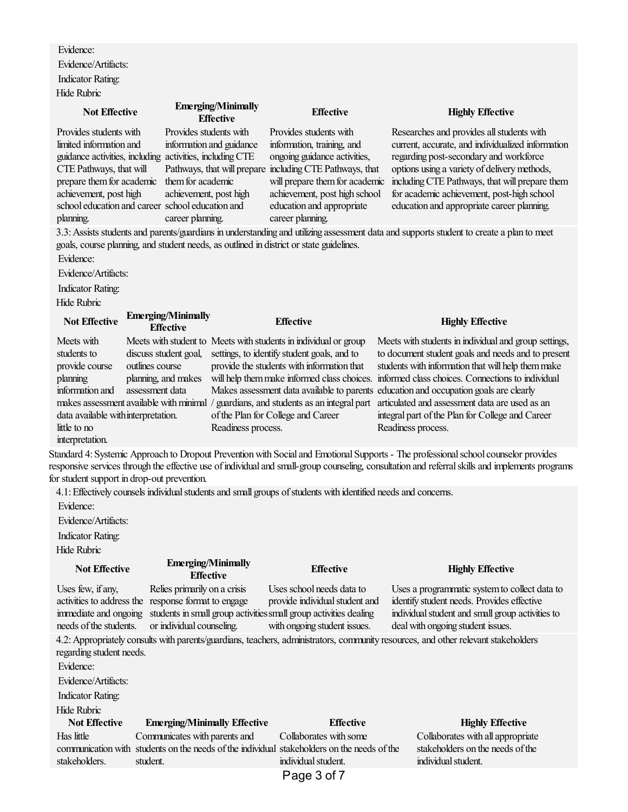Evidence: Evidence/Artifacts: Indicator Rating: Hide Rubric

| <b>Not Effective</b>                                                                    | <b>Emerging/Minimally</b><br><b>Effective</b> | <b>Effective</b>                                         | <b>Highly Effective</b>                                                                                                                  |
|-----------------------------------------------------------------------------------------|-----------------------------------------------|----------------------------------------------------------|------------------------------------------------------------------------------------------------------------------------------------------|
| Provides students with                                                                  | Provides students with                        | Provides students with                                   | Researches and provides all students with                                                                                                |
| limited information and                                                                 | information and guidance                      | information, training, and                               | current, accurate, and individualized information                                                                                        |
| guidance activities, including activities, including CTE                                |                                               | ongoing guidance activities,                             | regarding post-secondary and workforce                                                                                                   |
| CTE Pathways, that will                                                                 |                                               | Pathways, that will prepare including CTE Pathways, that | options using a variety of delivery methods,                                                                                             |
| prepare them for academic                                                               | them for academic                             | will prepare them for academic                           | including CTE Pathways, that will prepare them                                                                                           |
| achievement, post high                                                                  | achievement, post high                        | achievement, post high school                            | for academic achievement, post-high school                                                                                               |
| school education and career school education and                                        |                                               | education and appropriate                                | education and appropriate career planning.                                                                                               |
| planning.                                                                               | career planning.                              | career planning.                                         |                                                                                                                                          |
|                                                                                         |                                               |                                                          | 3.3: Assists students and parents/guardians in understanding and utilizing assessment data and supports student to create a plan to meet |
| goals, course planning, and student needs, as outlined in district or state guidelines. |                                               |                                                          |                                                                                                                                          |
| Evidence:                                                                               |                                               |                                                          |                                                                                                                                          |

Evidence/Artifacts:

Indicator Rating:

Hide Rubric

| <b>Not Effective</b>                                                                      | <b>Emerging/Minimally</b><br><b>Effective</b>                   | <b>Effective</b>                                                                                                                                              | <b>Highly Effective</b>                                                                                                                                                                                                                                            |
|-------------------------------------------------------------------------------------------|-----------------------------------------------------------------|---------------------------------------------------------------------------------------------------------------------------------------------------------------|--------------------------------------------------------------------------------------------------------------------------------------------------------------------------------------------------------------------------------------------------------------------|
| Meets with<br>students to<br>provide course<br>planning                                   | discuss student goal,<br>outlines course<br>planning, and makes | Meets with student to Meets with students in individual or group<br>settings, to identify student goals, and to<br>provide the students with information that | Meets with students in individual and group settings,<br>to document student goals and needs and to present<br>students with information that will help them make<br>will help them make informed class choices. informed class choices. Connections to individual |
| information and<br>data available with interpretation.<br>little to no<br>interpretation. | assessment data<br>makes assessment available with minimal      | Makes assessment data available to parents education and occupation goals are clearly<br>of the Plan for College and Career<br>Readiness process.             | guardians, and students as an integral part articulated and assessment data are used as an<br>integral part of the Plan for College and Career<br>Readiness process.                                                                                               |

Standard 4: Systemic Approach to Dropout Prevention with Social and Emotional Supports - The professional school counselor provides responsive services through the effective use of individual and small-group counseling, consultation and referral skills and implements programs for student support in drop-out prevention.

4.1: Effectively counsels individual students and small groups of students with identified needs and concerns.

Evidence:

Evidence/Artifacts:

Indicator Rating:

Hide Rubric

## **Not Effective Emerging/Minimally Effective Effective Highly Effective** Uses few, ifany, activities to address the response format to engage immediate and ongoing students in small group activities small group activities dealing needs of the students. Relies primarily on a crisis or individual counseling. Uses school needs data to provide individual student and with ongoing student issues. Uses a programmatic system to collect data to identify student needs. Provides effective individual student and small group activities to deal with ongoing student issues. 4.2: Appropriately consults with parents/guardians, teachers, administrators, community resources, and other relevant stakeholders regarding student needs. Evidence: Evidence/Artifacts: Indicator Rating: Hide Rubric **Not Effective Emerging/Minimally Effective Effective Highly Effective** Has little communication with students on the needs of the individual stakeholders on the needs of the stakeholders. Communicates with parents and student. Collaborates with some individual student. Collaborates with allappropriate stakeholders on the needs of the individual student. Page 3 of 7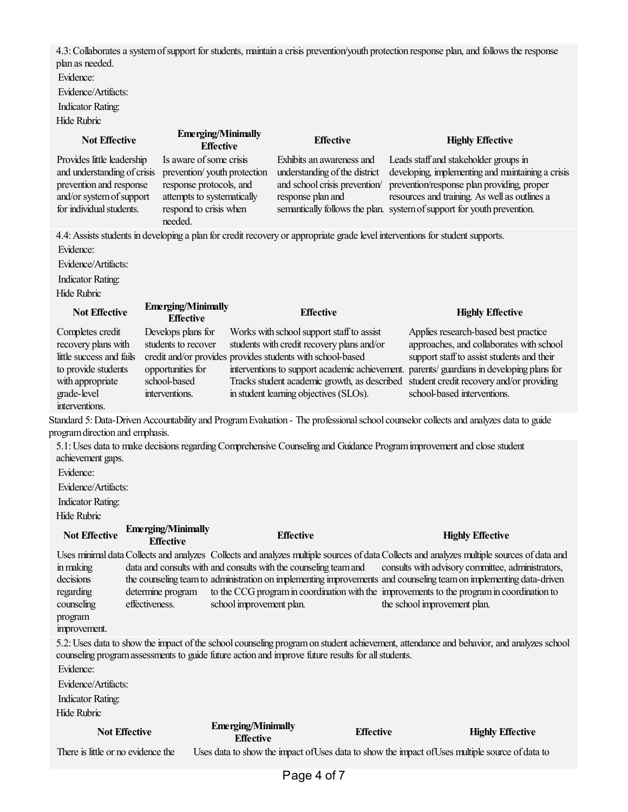4.3: Collaborates a system of support for students, maintain a crisis prevention/youth protection response plan, and follows the response plan as needed.

Evidence:

Evidence/Artifacts:

Indicator Rating:

Hide Rubric

| <b>Not Effective</b>                                                                                                                            |                | <b>Emerging/Minimally</b><br><b>Effective</b>                                                                                                        |                                               | <b>Effective</b>                                                                                                                                                                                                                                |                  | <b>Highly Effective</b>                                                                                                                                                                                                                                                                                                                                                                                                                                                                                                                                                                       |
|-------------------------------------------------------------------------------------------------------------------------------------------------|----------------|------------------------------------------------------------------------------------------------------------------------------------------------------|-----------------------------------------------|-------------------------------------------------------------------------------------------------------------------------------------------------------------------------------------------------------------------------------------------------|------------------|-----------------------------------------------------------------------------------------------------------------------------------------------------------------------------------------------------------------------------------------------------------------------------------------------------------------------------------------------------------------------------------------------------------------------------------------------------------------------------------------------------------------------------------------------------------------------------------------------|
| Provides little leadership<br>and understanding of crisis<br>prevention and response<br>and/or system of support<br>for individual students.    |                | Is aware of some crisis<br>prevention/youth protection<br>response protocols, and<br>attempts to systematically<br>respond to crisis when<br>needed. |                                               | Exhibits an awareness and<br>understanding of the district<br>and school crisis prevention/<br>response plan and                                                                                                                                |                  | Leads staff and stakeholder groups in<br>developing, implementing and maintaining a crisis<br>prevention/response plan providing, proper<br>resources and training. As well as outlines a<br>semantically follows the plan. system of support for youth prevention.                                                                                                                                                                                                                                                                                                                           |
| Evidence:<br>Evidence/Artifacts:<br><b>Indicator Rating:</b><br><b>Hide Rubric</b>                                                              |                |                                                                                                                                                      |                                               |                                                                                                                                                                                                                                                 |                  | 4.4: Assists students in developing a plan for credit recovery or appropriate grade level interventions for student supports.                                                                                                                                                                                                                                                                                                                                                                                                                                                                 |
| <b>Not Effective</b>                                                                                                                            |                | <b>Emerging/Minimally</b><br><b>Effective</b>                                                                                                        |                                               | <b>Effective</b>                                                                                                                                                                                                                                |                  | <b>Highly Effective</b>                                                                                                                                                                                                                                                                                                                                                                                                                                                                                                                                                                       |
| Completes credit<br>recovery plans with<br>little success and fails<br>to provide students<br>with appropriate<br>grade-level<br>interventions. |                | Develops plans for<br>students to recover<br>opportunities for<br>school-based<br>interventions.                                                     |                                               | Works with school support staff to assist<br>students with credit recovery plans and/or<br>credit and/or provides provides students with school-based<br>Tracks student academic growth, as described<br>in student learning objectives (SLOs). |                  | Applies research-based best practice<br>approaches, and collaborates with school<br>support staff to assist students and their<br>interventions to support academic achievement. parents/ guardians in developing plans for<br>student credit recovery and/or providing<br>school-based interventions.                                                                                                                                                                                                                                                                                        |
| program direction and emphasis.                                                                                                                 |                |                                                                                                                                                      |                                               |                                                                                                                                                                                                                                                 |                  | Standard 5: Data-Driven Accountability and Program Evaluation - The professional school counselor collects and analyzes data to guide                                                                                                                                                                                                                                                                                                                                                                                                                                                         |
| achievement gaps.<br>Evidence:<br>Evidence/Artifacts:<br><b>Indicator Rating:</b><br><b>Hide Rubric</b><br><b>Not Effective</b>                 |                | <b>Emerging/Minimally</b>                                                                                                                            |                                               | <b>Effective</b>                                                                                                                                                                                                                                |                  | 5.1: Uses data to make decisions regarding Comprehensive Counseling and Guidance Program improvement and close student                                                                                                                                                                                                                                                                                                                                                                                                                                                                        |
|                                                                                                                                                 |                | <b>Effective</b>                                                                                                                                     |                                               |                                                                                                                                                                                                                                                 |                  | <b>Highly Effective</b>                                                                                                                                                                                                                                                                                                                                                                                                                                                                                                                                                                       |
| in making<br>decisions<br>regarding<br>counseling<br>program<br>improvement.                                                                    | effectiveness. | determine program                                                                                                                                    | school improvement plan.                      | data and consults with and consults with the counseling team and<br>counseling program assessments to guide future action and improve future results for all students.                                                                          |                  | Uses minimal data Collects and analyzes Collects and analyzes multiple sources of data Collects and analyzes multiple sources of data and<br>consults with advisory committee, administrators,<br>the counseling team to administration on implementing improvements and counseling team on implementing data-driven<br>to the CCG program in coordination with the improvements to the program in coordination to<br>the school improvement plan.<br>5.2: Uses data to show the impact of the school counseling program on student achievement, attendance and behavior, and analyzes school |
| Evidence:<br>Evidence/Artifacts:<br><b>Indicator Rating:</b>                                                                                    |                |                                                                                                                                                      |                                               |                                                                                                                                                                                                                                                 |                  |                                                                                                                                                                                                                                                                                                                                                                                                                                                                                                                                                                                               |
| <b>Hide Rubric</b>                                                                                                                              |                |                                                                                                                                                      |                                               |                                                                                                                                                                                                                                                 |                  |                                                                                                                                                                                                                                                                                                                                                                                                                                                                                                                                                                                               |
| <b>Not Effective</b>                                                                                                                            |                |                                                                                                                                                      | <b>Emerging/Minimally</b><br><b>Effective</b> |                                                                                                                                                                                                                                                 | <b>Effective</b> | <b>Highly Effective</b>                                                                                                                                                                                                                                                                                                                                                                                                                                                                                                                                                                       |
| There is little or no evidence the                                                                                                              |                |                                                                                                                                                      |                                               |                                                                                                                                                                                                                                                 |                  | Uses data to show the impact of Uses data to show the impact of Uses multiple source of data to                                                                                                                                                                                                                                                                                                                                                                                                                                                                                               |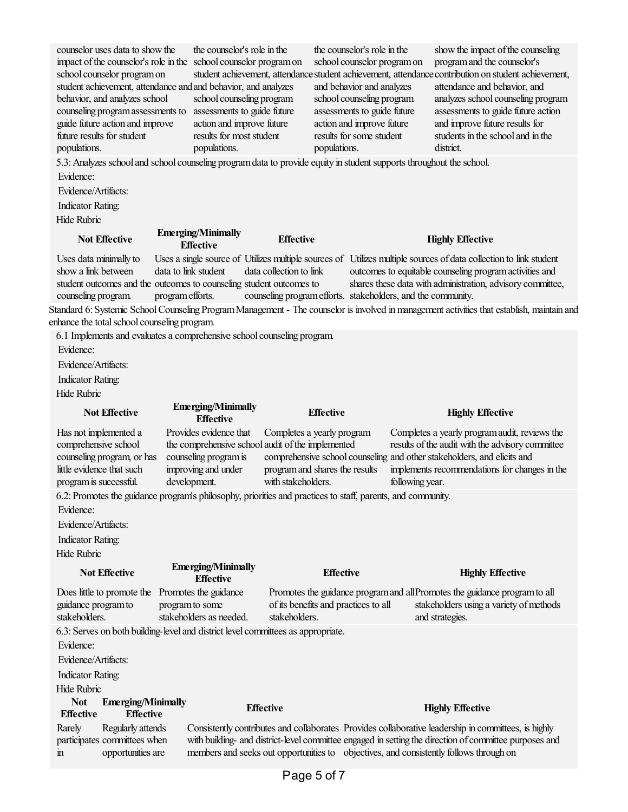| counselor uses data to show the<br>impact of the counselor's role in the school counselor program on<br>school counselor program on<br>student achievement, attendance and and behavior, and analyzes<br>behavior, and analyzes school<br>counseling program assessments to<br>guide future action and improve<br>future results for student<br>populations. | the counselor's role in the<br>school counseling program<br>assessments to guide future<br>action and improve future<br>results for most student<br>populations. | populations.<br>5.3: Analyzes school and school counseling program data to provide equity in student supports throughout the school. | the counselor's role in the<br>school counselor program on<br>and behavior and analyzes<br>school counseling program<br>assessments to guide future<br>action and improve future<br>results for some student | show the impact of the counseling<br>program and the counselor's<br>student achievement, attendance student achievement, attendance contribution on student achievement,<br>attendance and behavior, and<br>analyzes school counseling program<br>assessments to guide future action<br>and improve future results for<br>students in the school and in the<br>district. |
|--------------------------------------------------------------------------------------------------------------------------------------------------------------------------------------------------------------------------------------------------------------------------------------------------------------------------------------------------------------|------------------------------------------------------------------------------------------------------------------------------------------------------------------|--------------------------------------------------------------------------------------------------------------------------------------|--------------------------------------------------------------------------------------------------------------------------------------------------------------------------------------------------------------|--------------------------------------------------------------------------------------------------------------------------------------------------------------------------------------------------------------------------------------------------------------------------------------------------------------------------------------------------------------------------|
| Evidence:                                                                                                                                                                                                                                                                                                                                                    |                                                                                                                                                                  |                                                                                                                                      |                                                                                                                                                                                                              |                                                                                                                                                                                                                                                                                                                                                                          |
| Evidence/Artifacts:                                                                                                                                                                                                                                                                                                                                          |                                                                                                                                                                  |                                                                                                                                      |                                                                                                                                                                                                              |                                                                                                                                                                                                                                                                                                                                                                          |
| <b>Indicator Rating:</b>                                                                                                                                                                                                                                                                                                                                     |                                                                                                                                                                  |                                                                                                                                      |                                                                                                                                                                                                              |                                                                                                                                                                                                                                                                                                                                                                          |
| <b>Hide Rubric</b>                                                                                                                                                                                                                                                                                                                                           |                                                                                                                                                                  |                                                                                                                                      |                                                                                                                                                                                                              |                                                                                                                                                                                                                                                                                                                                                                          |
| <b>Not Effective</b>                                                                                                                                                                                                                                                                                                                                         | <b>Emerging/Minimally</b><br><b>Effective</b>                                                                                                                    | <b>Effective</b>                                                                                                                     |                                                                                                                                                                                                              | <b>Highly Effective</b>                                                                                                                                                                                                                                                                                                                                                  |
| Uses data minimally to                                                                                                                                                                                                                                                                                                                                       |                                                                                                                                                                  |                                                                                                                                      |                                                                                                                                                                                                              | Uses a single source of Utilizes multiple sources of Utilizes multiple sources of data collection to link student                                                                                                                                                                                                                                                        |
| show a link between<br>student outcomes and the outcomes to counseling student outcomes to<br>counseling program.                                                                                                                                                                                                                                            | data to link student<br>program efforts.                                                                                                                         | data collection to link<br>counseling program efforts. stakeholders, and the community.                                              |                                                                                                                                                                                                              | outcomes to equitable counseling program activities and<br>shares these data with administration, advisory committee,                                                                                                                                                                                                                                                    |
|                                                                                                                                                                                                                                                                                                                                                              |                                                                                                                                                                  |                                                                                                                                      |                                                                                                                                                                                                              | Standard 6: Systemic School Counseling Program Management - The counselor is involved in management activities that establish, maintain and                                                                                                                                                                                                                              |
| enhance the total school counseling program.                                                                                                                                                                                                                                                                                                                 |                                                                                                                                                                  |                                                                                                                                      |                                                                                                                                                                                                              |                                                                                                                                                                                                                                                                                                                                                                          |
| 6.1 Implements and evaluates a comprehensive school counseling program.                                                                                                                                                                                                                                                                                      |                                                                                                                                                                  |                                                                                                                                      |                                                                                                                                                                                                              |                                                                                                                                                                                                                                                                                                                                                                          |
| Evidence:                                                                                                                                                                                                                                                                                                                                                    |                                                                                                                                                                  |                                                                                                                                      |                                                                                                                                                                                                              |                                                                                                                                                                                                                                                                                                                                                                          |
| Evidence/Artifacts:                                                                                                                                                                                                                                                                                                                                          |                                                                                                                                                                  |                                                                                                                                      |                                                                                                                                                                                                              |                                                                                                                                                                                                                                                                                                                                                                          |
| <b>Indicator Rating:</b>                                                                                                                                                                                                                                                                                                                                     |                                                                                                                                                                  |                                                                                                                                      |                                                                                                                                                                                                              |                                                                                                                                                                                                                                                                                                                                                                          |
| <b>Hide Rubric</b>                                                                                                                                                                                                                                                                                                                                           |                                                                                                                                                                  |                                                                                                                                      |                                                                                                                                                                                                              |                                                                                                                                                                                                                                                                                                                                                                          |
|                                                                                                                                                                                                                                                                                                                                                              | <b>Emerging/Minimally</b>                                                                                                                                        |                                                                                                                                      |                                                                                                                                                                                                              |                                                                                                                                                                                                                                                                                                                                                                          |
|                                                                                                                                                                                                                                                                                                                                                              |                                                                                                                                                                  |                                                                                                                                      |                                                                                                                                                                                                              |                                                                                                                                                                                                                                                                                                                                                                          |
| <b>Not Effective</b>                                                                                                                                                                                                                                                                                                                                         | <b>Effective</b>                                                                                                                                                 | <b>Effective</b>                                                                                                                     |                                                                                                                                                                                                              | <b>Highly Effective</b>                                                                                                                                                                                                                                                                                                                                                  |
| Has not implemented a                                                                                                                                                                                                                                                                                                                                        | Provides evidence that                                                                                                                                           | Completes a yearly program                                                                                                           |                                                                                                                                                                                                              | Completes a yearly program audit, reviews the                                                                                                                                                                                                                                                                                                                            |
| comprehensive school                                                                                                                                                                                                                                                                                                                                         |                                                                                                                                                                  | the comprehensive school audit of the implemented                                                                                    |                                                                                                                                                                                                              | results of the audit with the advisory committee                                                                                                                                                                                                                                                                                                                         |
| counseling program, or has                                                                                                                                                                                                                                                                                                                                   | counseling program is                                                                                                                                            |                                                                                                                                      |                                                                                                                                                                                                              | comprehensive school counseling and other stakeholders, and elicits and                                                                                                                                                                                                                                                                                                  |
| little evidence that such                                                                                                                                                                                                                                                                                                                                    | improving and under                                                                                                                                              | program and shares the results                                                                                                       |                                                                                                                                                                                                              | implements recommendations for changes in the                                                                                                                                                                                                                                                                                                                            |
| program is successful.                                                                                                                                                                                                                                                                                                                                       | development.                                                                                                                                                     | with stakeholders.                                                                                                                   | following year.                                                                                                                                                                                              |                                                                                                                                                                                                                                                                                                                                                                          |
|                                                                                                                                                                                                                                                                                                                                                              |                                                                                                                                                                  | 6.2: Promotes the guidance program's philosophy, priorities and practices to staff, parents, and community.                          |                                                                                                                                                                                                              |                                                                                                                                                                                                                                                                                                                                                                          |
| Evidence:                                                                                                                                                                                                                                                                                                                                                    |                                                                                                                                                                  |                                                                                                                                      |                                                                                                                                                                                                              |                                                                                                                                                                                                                                                                                                                                                                          |
| Evidence/Artifacts:                                                                                                                                                                                                                                                                                                                                          |                                                                                                                                                                  |                                                                                                                                      |                                                                                                                                                                                                              |                                                                                                                                                                                                                                                                                                                                                                          |
| <b>Indicator Rating:</b>                                                                                                                                                                                                                                                                                                                                     |                                                                                                                                                                  |                                                                                                                                      |                                                                                                                                                                                                              |                                                                                                                                                                                                                                                                                                                                                                          |
| <b>Hide Rubric</b>                                                                                                                                                                                                                                                                                                                                           |                                                                                                                                                                  |                                                                                                                                      |                                                                                                                                                                                                              |                                                                                                                                                                                                                                                                                                                                                                          |
| <b>Not Effective</b>                                                                                                                                                                                                                                                                                                                                         | <b>Emerging/Minimally</b>                                                                                                                                        | <b>Effective</b>                                                                                                                     |                                                                                                                                                                                                              | <b>Highly Effective</b>                                                                                                                                                                                                                                                                                                                                                  |
|                                                                                                                                                                                                                                                                                                                                                              | <b>Effective</b>                                                                                                                                                 |                                                                                                                                      |                                                                                                                                                                                                              |                                                                                                                                                                                                                                                                                                                                                                          |
| Does little to promote the Promotes the guidance                                                                                                                                                                                                                                                                                                             |                                                                                                                                                                  |                                                                                                                                      |                                                                                                                                                                                                              | Promotes the guidance program and all Promotes the guidance program to all                                                                                                                                                                                                                                                                                               |
| guidance program to<br>stakeholders.                                                                                                                                                                                                                                                                                                                         | program to some<br>stakeholders as needed.                                                                                                                       | of its benefits and practices to all<br>stakeholders.                                                                                |                                                                                                                                                                                                              | stakeholders using a variety of methods<br>and strategies.                                                                                                                                                                                                                                                                                                               |
| 6.3: Serves on both building-level and district level committees as appropriate.                                                                                                                                                                                                                                                                             |                                                                                                                                                                  |                                                                                                                                      |                                                                                                                                                                                                              |                                                                                                                                                                                                                                                                                                                                                                          |
| Evidence:                                                                                                                                                                                                                                                                                                                                                    |                                                                                                                                                                  |                                                                                                                                      |                                                                                                                                                                                                              |                                                                                                                                                                                                                                                                                                                                                                          |
| Evidence/Artifacts:                                                                                                                                                                                                                                                                                                                                          |                                                                                                                                                                  |                                                                                                                                      |                                                                                                                                                                                                              |                                                                                                                                                                                                                                                                                                                                                                          |
|                                                                                                                                                                                                                                                                                                                                                              |                                                                                                                                                                  |                                                                                                                                      |                                                                                                                                                                                                              |                                                                                                                                                                                                                                                                                                                                                                          |
| <b>Indicator Rating:</b><br><b>Hide Rubric</b>                                                                                                                                                                                                                                                                                                               |                                                                                                                                                                  |                                                                                                                                      |                                                                                                                                                                                                              |                                                                                                                                                                                                                                                                                                                                                                          |
| <b>Not</b>                                                                                                                                                                                                                                                                                                                                                   |                                                                                                                                                                  |                                                                                                                                      |                                                                                                                                                                                                              |                                                                                                                                                                                                                                                                                                                                                                          |
| <b>Emerging/Minimally</b><br><b>Effective</b><br><b>Effective</b>                                                                                                                                                                                                                                                                                            |                                                                                                                                                                  | <b>Effective</b>                                                                                                                     |                                                                                                                                                                                                              | <b>Highly Effective</b>                                                                                                                                                                                                                                                                                                                                                  |
| Rarely<br>Regularly attends                                                                                                                                                                                                                                                                                                                                  |                                                                                                                                                                  |                                                                                                                                      |                                                                                                                                                                                                              | Consistently contributes and collaborates Provides collaborative leadership in committees, is highly                                                                                                                                                                                                                                                                     |
| participates committees when<br>opportunities are<br>$\overline{m}$                                                                                                                                                                                                                                                                                          |                                                                                                                                                                  | members and seeks out opportunities to objectives, and consistently follows through on                                               |                                                                                                                                                                                                              | with building- and district-level committee engaged in setting the direction of committee purposes and                                                                                                                                                                                                                                                                   |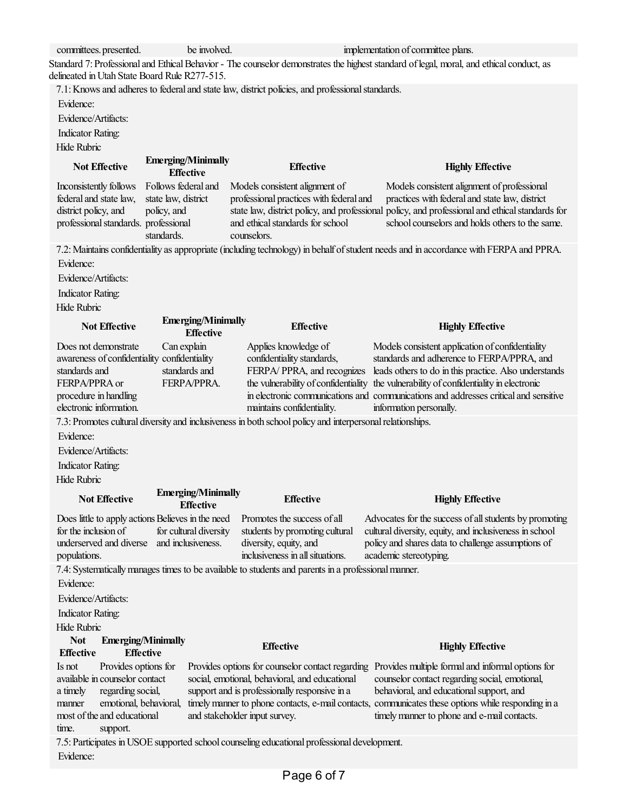| committees. presented.                                                          | be involved.                                  |                                                                                                           | implementation of committee plans.                                                                                                       |
|---------------------------------------------------------------------------------|-----------------------------------------------|-----------------------------------------------------------------------------------------------------------|------------------------------------------------------------------------------------------------------------------------------------------|
|                                                                                 |                                               |                                                                                                           | Standard 7: Professional and Ethical Behavior - The counselor demonstrates the highest standard of legal, moral, and ethical conduct, as |
| delineated in Utah State Board Rule R277-515.                                   |                                               |                                                                                                           |                                                                                                                                          |
|                                                                                 |                                               | 7.1: Knows and adheres to federal and state law, district policies, and professional standards.           |                                                                                                                                          |
| Evidence:                                                                       |                                               |                                                                                                           |                                                                                                                                          |
| Evidence/Artifacts:                                                             |                                               |                                                                                                           |                                                                                                                                          |
| <b>Indicator Rating:</b>                                                        |                                               |                                                                                                           |                                                                                                                                          |
| Hide Rubric                                                                     |                                               |                                                                                                           |                                                                                                                                          |
| <b>Not Effective</b>                                                            | <b>Emerging/Minimally</b><br><b>Effective</b> | <b>Effective</b>                                                                                          | <b>Highly Effective</b>                                                                                                                  |
| Inconsistently follows                                                          | Follows federal and                           | Models consistent alignment of                                                                            | Models consistent alignment of professional                                                                                              |
| federal and state law,                                                          | state law, district                           | professional practices with federal and                                                                   | practices with federal and state law, district                                                                                           |
| district policy, and                                                            | policy, and                                   |                                                                                                           | state law, district policy, and professional policy, and professional and ethical standards for                                          |
| professional standards. professional                                            |                                               | and ethical standards for school                                                                          | school counselors and holds others to the same.                                                                                          |
|                                                                                 | standards.                                    | counselors.                                                                                               |                                                                                                                                          |
|                                                                                 |                                               |                                                                                                           | 7.2: Maintains confidentiality as appropriate (including technology) in behalf of student needs and in accordance with FERPA and PPRA.   |
| Evidence:                                                                       |                                               |                                                                                                           |                                                                                                                                          |
| Evidence/Artifacts:                                                             |                                               |                                                                                                           |                                                                                                                                          |
| <b>Indicator Rating:</b>                                                        |                                               |                                                                                                           |                                                                                                                                          |
| <b>Hide Rubric</b>                                                              |                                               |                                                                                                           |                                                                                                                                          |
| <b>Not Effective</b>                                                            | <b>Emerging/Minimally</b><br><b>Effective</b> | <b>Effective</b>                                                                                          | <b>Highly Effective</b>                                                                                                                  |
| Does not demonstrate                                                            | Can explain                                   | Applies knowledge of                                                                                      | Models consistent application of confidentiality                                                                                         |
| awareness of confidentiality confidentiality                                    |                                               | confidentiality standards,                                                                                | standards and adherence to FERPA/PPRA, and                                                                                               |
| standards and                                                                   | standards and                                 | FERPA/PPRA, and recognizes                                                                                | leads others to do in this practice. Also understands                                                                                    |
| FERPA/PPRA or                                                                   | FERPA/PPRA.                                   | the vulnerability of confidentiality                                                                      | the vulnerability of confidentiality in electronic                                                                                       |
| procedure in handling                                                           |                                               |                                                                                                           | in electronic communications and communications and addresses critical and sensitive                                                     |
| electronic information.                                                         |                                               | maintains confidentiality.                                                                                | information personally.                                                                                                                  |
|                                                                                 |                                               | 7.3: Promotes cultural diversity and inclusiveness in both school policy and interpersonal relationships. |                                                                                                                                          |
| Evidence:                                                                       |                                               |                                                                                                           |                                                                                                                                          |
| Evidence/Artifacts:                                                             |                                               |                                                                                                           |                                                                                                                                          |
| <b>Indicator Rating:</b>                                                        |                                               |                                                                                                           |                                                                                                                                          |
| <b>Hide Rubric</b>                                                              |                                               |                                                                                                           |                                                                                                                                          |
| <b>Not Effective</b>                                                            | <b>Emerging/Minimally</b><br><b>Effective</b> | <b>Effective</b>                                                                                          | <b>Highly Effective</b>                                                                                                                  |
| Does little to apply actions Believes in the need                               |                                               | Promotes the success of all                                                                               | Advocates for the success of all students by promoting                                                                                   |
| for the inclusion of                                                            | for cultural diversity                        | students by promoting cultural                                                                            | cultural diversity, equity, and inclusiveness in school                                                                                  |
| underserved and diverse                                                         | and inclusiveness.                            | diversity, equity, and                                                                                    | policy and shares data to challenge assumptions of                                                                                       |
| populations.                                                                    |                                               | inclusiveness in all situations.                                                                          | academic stereotyping.                                                                                                                   |
|                                                                                 |                                               | 7.4: Systematically manages times to be available to students and parents in a professional manner.       |                                                                                                                                          |
| Evidence:                                                                       |                                               |                                                                                                           |                                                                                                                                          |
| Evidence/Artifacts:                                                             |                                               |                                                                                                           |                                                                                                                                          |
| <b>Indicator Rating:</b>                                                        |                                               |                                                                                                           |                                                                                                                                          |
| Hide Rubric                                                                     |                                               |                                                                                                           |                                                                                                                                          |
|                                                                                 |                                               |                                                                                                           |                                                                                                                                          |
|                                                                                 |                                               |                                                                                                           |                                                                                                                                          |
| <b>Not</b><br><b>Emerging/Minimally</b><br><b>Effective</b><br><b>Effective</b> |                                               | <b>Effective</b>                                                                                          | <b>Highly Effective</b>                                                                                                                  |
| Provides options for<br>Is not                                                  |                                               | Provides options for counselor contact regarding                                                          | Provides multiple formal and informal options for                                                                                        |
| available in counselor contact                                                  |                                               | social, emotional, behavioral, and educational                                                            | counselor contact regarding social, emotional,                                                                                           |
| regarding social,<br>a timely                                                   |                                               | support and is professionally responsive in a                                                             | behavioral, and educational support, and                                                                                                 |
| emotional, behavioral,<br>manner                                                |                                               |                                                                                                           | timely manner to phone contacts, e-mail contacts, communicates these options while responding in a                                       |
| most of the and educational                                                     |                                               | and stakeholder input survey.                                                                             | timely manner to phone and e-mail contacts.                                                                                              |
| time.<br>support.                                                               |                                               |                                                                                                           |                                                                                                                                          |
| Evidence:                                                                       |                                               | 7.5: Participates in USOE supported school counseling educational professional development.               |                                                                                                                                          |